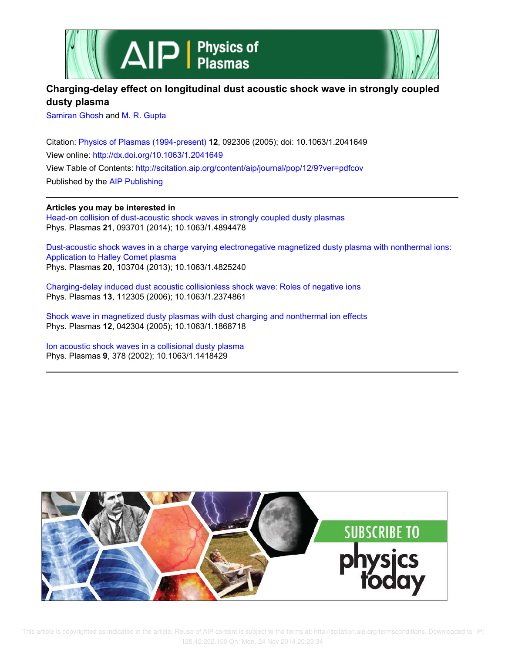



# **Charging-delay effect on longitudinal dust acoustic shock wave in strongly coupled dusty plasma**

Samiran Ghosh and M. R. Gupta

Citation: Physics of Plasmas (1994-present) **12**, 092306 (2005); doi: 10.1063/1.2041649 View online: http://dx.doi.org/10.1063/1.2041649 View Table of Contents: http://scitation.aip.org/content/aip/journal/pop/12/9?ver=pdfcov Published by the AIP Publishing

**Articles you may be interested in**

Head-on collision of dust-acoustic shock waves in strongly coupled dusty plasmas Phys. Plasmas **21**, 093701 (2014); 10.1063/1.4894478

Dust-acoustic shock waves in a charge varying electronegative magnetized dusty plasma with nonthermal ions: Application to Halley Comet plasma Phys. Plasmas **20**, 103704 (2013); 10.1063/1.4825240

Charging-delay induced dust acoustic collisionless shock wave: Roles of negative ions Phys. Plasmas **13**, 112305 (2006); 10.1063/1.2374861

Shock wave in magnetized dusty plasmas with dust charging and nonthermal ion effects Phys. Plasmas **12**, 042304 (2005); 10.1063/1.1868718

Ion acoustic shock waves in a collisional dusty plasma Phys. Plasmas **9**, 378 (2002); 10.1063/1.1418429



 This article is copyrighted as indicated in the article. Reuse of AIP content is subject to the terms at: http://scitation.aip.org/termsconditions. Downloaded to IP: 128.42.202.150 On: Mon, 24 Nov 2014 20:23:34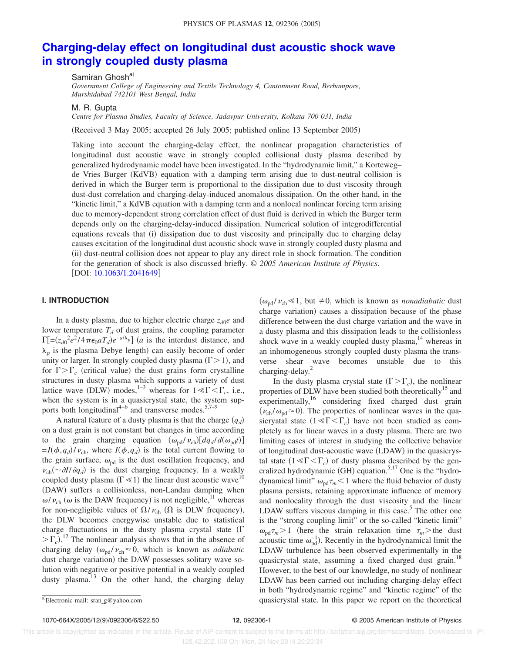# **Charging-delay effect on longitudinal dust acoustic shock wave in strongly coupled dusty plasma**

Samiran Ghosh<sup>a)</sup>

*Government College of Engineering and Textile Technology 4, Cantonment Road, Berhampore, Murshidabad 742101 West Bengal, India*

M. R. Gupta

*Centre for Plasma Studies, Faculty of Science, Jadavpur University, Kolkata 700 031, India*

(Received 3 May 2005; accepted 26 July 2005; published online 13 September 2005)

Taking into account the charging-delay effect, the nonlinear propagation characteristics of longitudinal dust acoustic wave in strongly coupled collisional dusty plasma described by generalized hydrodynamic model have been investigated. In the "hydrodynamic limit," a Korteweg– de Vries Burger (KdVB) equation with a damping term arising due to dust-neutral collision is derived in which the Burger term is proportional to the dissipation due to dust viscosity through dust-dust correlation and charging-delay-induced anomalous dissipation. On the other hand, in the "kinetic limit," a KdVB equation with a damping term and a nonlocal nonlinear forcing term arising due to memory-dependent strong correlation effect of dust fluid is derived in which the Burger term depends only on the charging-delay-induced dissipation. Numerical solution of integrodifferential equations reveals that (i) dissipation due to dust viscosity and principally due to charging delay causes excitation of the longitudinal dust acoustic shock wave in strongly coupled dusty plasma and (ii) dust-neutral collision does not appear to play any direct role in shock formation. The condition for the generation of shock is also discussed briefly. © *2005 American Institute of Physics*. [DOI: 10.1063/1.2041649]

### **I. INTRODUCTION**

In a dusty plasma, due to higher electric charge  $z_{d0}e$  and lower temperature  $T_d$  of dust grains, the coupling parameter  $\Gamma$ [=( $z_{d0}^2 e^2 / 4 \pi \epsilon_0 a T_d$ ) $e^{-a/\lambda_p}$ ] (*a* is the interdust distance, and  $\lambda_p$  is the plasma Debye length) can easily become of order unity or larger. In strongly coupled dusty plasma  $(\Gamma > 1)$ , and for  $\Gamma > \Gamma_c$  (critical value) the dust grains form crystalline structures in dusty plasma which supports a variety of dust lattice wave (DLW) modes,<sup>1–3</sup> whereas for  $1 \ll \Gamma \ll \Gamma_c$ , i.e., when the system is in a quasicrystal state, the system supports both longitudinal<sup>4–6</sup> and transverse modes.<sup>5,7–9</sup>

A natural feature of a dusty plasma is that the charge *q<sup>d</sup>* on a dust grain is not constant but changes in time according to the grain charging equation  $(\omega_{pd} / \nu_{ch})[dq_d / d(\omega_{pd} t)]$  $= I(\phi, q_d) / \nu_{ch}$ , where  $I(\phi, q_d)$  is the total current flowing to the grain surface,  $\omega_{\text{nd}}$  is the dust oscillation frequency, and  $\nu_{ch}(\sim \partial I/\partial q_d)$  is the dust charging frequency. In a weakly coupled dusty plasma ( $\Gamma \ll 1$ ) the linear dust acoustic wave<sup>10</sup> (DAW) suffers a collisionless, non-Landau damping when  $\omega/\nu_{ch}$  ( $\omega$  is the DAW frequency) is not negligible, <sup>11</sup> whereas for non-negligible values of  $\Omega/\nu_{ch}$  ( $\Omega$  is DLW frequency), the DLW becomes energywise unstable due to statistical charge fluctuations in the dusty plasma crystal state  $(\Gamma)$  $\sum_{c}$ .<sup>12</sup> The nonlinear analysis shows that in the absence of charging delay  $(\omega_{pd} / \nu_{ch} \approx 0$ , which is known as *adiabatic* dust charge variation) the DAW possesses solitary wave solution with negative or positive potential in a weakly coupled dusty plasma.<sup>13</sup> On the other hand, the charging delay

 $(\omega_{\text{pd}}/v_{\text{ch}} \leq 1, \text{ but } \neq 0, \text{ which is known as } n \text{ on } \mathcal{A}$  dust charge variation) causes a dissipation because of the phase difference between the dust charge variation and the wave in a dusty plasma and this dissipation leads to the collisionless shock wave in a weakly coupled dusty plasma, $^{14}$  whereas in an inhomogeneous strongly coupled dusty plasma the transverse shear wave becomes unstable due to this charging-delay.<sup>2</sup>

In the dusty plasma crystal state  $(\Gamma > \Gamma_c)$ , the nonlinear properties of DLW have been studied both theoretically<sup>15</sup> and experimentally,<sup>16</sup> considering fixed charged dust grain  $(\nu_{ch}/\omega_{pd} \approx 0)$ . The properties of nonlinear waves in the quasicryatal state  $(1 \leq \Gamma \leq \Gamma_c)$  have not been studied as completely as for linear waves in a dusty plasma. There are two limiting cases of interest in studying the collective behavior of longitudinal dust-acoustic wave (LDAW) in the quasicrystal state  $(1 \leq \Gamma \leq \Gamma_c)$  of dusty plasma described by the generalized hydrodynamic (GH) equation.<sup>5,17</sup> One is the "hydrodynamical limit"  $\omega_{\text{pd}}\tau_m$  < 1 where the fluid behavior of dusty plasma persists, retaining approximate influence of memory and nonlocality through the dust viscosity and the linear LDAW suffers viscous damping in this case.<sup>5</sup> The other one is the "strong coupling limit" or the so-called "kinetic limit"  $\omega_{\text{pd}}\tau_m$  > 1 (here the strain relaxation time  $\tau_m$  > the dust acoustic time  $\omega_{\rm pd}^{-1}$ ). Recently in the hydrodynamical limit the LDAW turbulence has been observed experimentally in the quasicrystal state, assuming a fixed charged dust grain.<sup>18</sup> However, to the best of our knowledge, no study of nonlinear LDAW has been carried out including charging-delay effect in both "hydrodynamic regime" and "kinetic regime" of the quasicrystal state. In this paper we report on the theoretical

1070-664X/2005/129/092306/6/\$22.50 **12**, 092306-1 © 2005 American Institute of Physics

Electronic mail: sran\_g@yahoo.com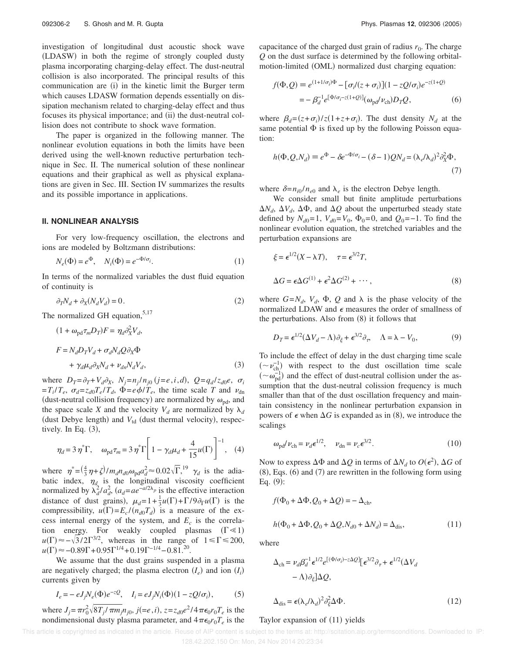investigation of longitudinal dust acoustic shock wave (LDASW) in both the regime of strongly coupled dusty plasma incorporating charging-delay effect. The dust-neutral collision is also incorporated. The principal results of this communication are (i) in the kinetic limit the Burger term which causes LDASW formation depends essentially on dissipation mechanism related to charging-delay effect and thus focuses its physical importance; and (ii) the dust-neutral collision does not contribute to shock wave formation.

The paper is organized in the following manner. The nonlinear evolution equations in both the limits have been derived using the well-known reductive perturbation technique in Sec. II. The numerical solution of these nonlinear equations and their graphical as well as physical explanations are given in Sec. III. Section IV summarizes the results and its possible importance in applications.

### **II. NONLINEAR ANALYSIS**

For very low-frequency oscillation, the electrons and ions are modeled by Boltzmann distributions:

$$
N_e(\Phi) = e^{\Phi}, \quad N_i(\Phi) = e^{-\Phi/\sigma_i}.
$$
 (1)

In terms of the normalized variables the dust fluid equation of continuity is

$$
\partial_T N_d + \partial_X (N_d V_d) = 0. \tag{2}
$$

The normalized GH equation,  $5,17$ 

$$
(1 + \omega_{\text{pd}} \tau_m D_T) F = \eta_d \partial_X^2 V_d,
$$
  
\n
$$
F = N_d D_T V_d + \sigma_d N_d Q \partial_X \Phi
$$
  
\n
$$
+ \gamma_d \mu_d \partial_X N_d + \nu_{dn} N_d V_d,
$$
\n(3)

where  $D_T = \partial_T + V_d \partial_X$ ,  $N_j = n_j / n_{j0}$  ( $j = e, i, d$ ),  $Q = q_d / z_{d0} e$ ,  $\sigma_i$  $=T_i/T_e$ ,  $\sigma_d = z_{d0}T_e/T_d$ ,  $\Phi = e\phi/T_e$ , the time scale *T* and  $\nu_{dn}$ (dust-neutral collision frequency) are normalized by  $\omega_{pd}$ , and the space scale *X* and the velocity  $V_d$  are normalized by  $\lambda_d$ (dust Debye length) and  $V_{td}$  (dust thermal velocity), respectively. In Eq.  $(3)$ ,

$$
\eta_d = 3 \eta^* \Gamma, \quad \omega_{\text{pd}} \tau_m = 3 \eta^* \Gamma \left[ 1 - \gamma_d \mu_d + \frac{4}{15} u(\Gamma) \right]^{-1}, \quad (4)
$$

where  $\eta^* = (\frac{4}{3}\eta + \zeta)/m_d n_{d0} \omega_{pd} a_d^2 \approx 0.02 \sqrt{\Gamma}$ , <sup>19</sup>  $\gamma_d$  is the adiabatic index,  $\eta_d$  is the longitudinal viscosity coefficient normalized by  $\lambda_d^2 / a_d^2$ ,  $(a_d = ae^{-a/2\lambda_p})$  is the effective interaction distance of dust grains),  $\mu_d = 1 + \frac{1}{3}u(\Gamma) + \Gamma/9 \partial_\Gamma u(\Gamma)$  is the compressibility,  $u(\Gamma) = E_c / (n_{d0} T_d)$  is a measure of the excess internal energy of the system, and  $E_c$  is the correlation energy. For weakly coupled plasmas  $(\Gamma \ll 1)$  $u(\Gamma) \approx -\sqrt{3}/2\Gamma^{3/2}$ , whereas in the range of  $1 \le \Gamma \le 200$ ,  $u(\Gamma) \approx -0.89\Gamma + 0.95\Gamma^{1/4} + 0.19\Gamma^{-1/4} - 0.81$ <sup>20</sup>.

We assume that the dust grains suspended in a plasma are negatively charged; the plasma electron  $(I_e)$  and ion  $(I_i)$ currents given by

$$
I_e = -eJ_jN_e(\Phi)e^{-zQ}
$$
,  $I_i = eJ_jN_i(\Phi)(1 - zQ/\sigma_i)$ , (5)

where  $J_j = \pi r_0^2 \sqrt{8T_j / \pi m_j} n_{j0}$ ,  $j (=e, i)$ ,  $z = z_{d0}e^{2}/4 \pi \epsilon_0 r_0 T_e$  is the nondimensional dusty plasma parameter, and  $4\pi\epsilon_0 r_0 T_e$  is the

capacitance of the charged dust grain of radius  $r_0$ . The charge *Q* on the dust surface is determined by the following orbitalmotion-limited (OML) normalized dust charging equation:

$$
f(\Phi, Q) \equiv e^{(1+1/\sigma_i)\Phi} - [\sigma_i/(z+\sigma_i)](1-zQ/\sigma_i)e^{-z(1+Q)}
$$
  
= 
$$
-\beta_d^{-1}e^{[\Phi/\sigma_i-z(1+Q)]}(\omega_{\text{pd}}/\nu_{\text{ch}})D_TQ,
$$
 (6)

where  $\beta_d = (z + \sigma_i)/z(1 + z + \sigma_i)$ . The dust density  $N_d$  at the same potential  $\Phi$  is fixed up by the following Poisson equation:

$$
h(\Phi, Q, N_d) \equiv e^{\Phi} - \delta e^{-\Phi/\sigma_i} - (\delta - 1)QN_d = (\lambda_e/\lambda_d)^2 \partial_X^2 \Phi,
$$
\n(7)

where  $\delta = n_{i0}/n_{e0}$  and  $\lambda_e$  is the electron Debye length.

We consider small but finite amplitude perturbations  $\Delta N_d$ ,  $\Delta V_d$ ,  $\Delta \Phi$ , and  $\Delta Q$  about the unperturbed steady state defined by  $N_{d0} = 1$ ,  $V_{d0} = V_0$ ,  $\Phi_0 = 0$ , and  $Q_0 = -1$ . To find the nonlinear evolution equation, the stretched variables and the perturbation expansions are

$$
\xi = \epsilon^{1/2} (X - \lambda T), \quad \tau = \epsilon^{3/2} T,
$$
  
\n
$$
\Delta G = \epsilon \Delta G^{(1)} + \epsilon^2 \Delta G^{(2)} + \cdots,
$$
\n(8)

where  $G = N_d$ ,  $V_d$ ,  $\Phi$ ,  $Q$  and  $\lambda$  is the phase velocity of the normalized LDAW and  $\epsilon$  measures the order of smallness of the perturbations. Also from (8) it follows that

$$
D_T = \epsilon^{1/2} (\Delta V_d - \Lambda) \partial_{\xi} + \epsilon^{3/2} \partial_{\tau}, \quad \Lambda = \lambda - V_0,
$$
 (9)

To include the effect of delay in the dust charging time scale  $({\sim}v_{ch}^{-1})$  with respect to the dust oscillation time scale  $({\sim}\omega_{\rm pd}^{-1})$  and the effect of dust-neutral collision under the assumption that the dust-neutral colission frequency is much smaller than that of the dust oscillation frequency and maintain consistency in the nonlinear perturbation expansion in powers of  $\epsilon$  when  $\Delta G$  is expanded as in (8), we introduce the scalings

$$
\omega_{\text{pd}}/\nu_{\text{ch}} = \nu_d \epsilon^{1/2}, \quad \nu_{\text{dn}} = \nu_c \epsilon^{3/2}.
$$
 (10)

Now to express  $\Delta \Phi$  and  $\Delta Q$  in terms of  $\Delta N_d$  to  $O(\epsilon^2)$ ,  $\Delta G$  of  $(8)$ , Eqs.  $(6)$  and  $(7)$  are rewritten in the following form using Eq.  $(9)$ :

$$
f(\Phi_0 + \Delta \Phi, Q_0 + \Delta Q) = -\Delta_{\text{ch}},
$$
  

$$
h(\Phi_0 + \Delta \Phi, Q_0 + \Delta Q, N_{d0} + \Delta N_d) = \Delta_{\text{dis}},
$$
 (11)

where

$$
\Delta_{\rm ch} = \nu_d \beta_d^{-1} \epsilon^{1/2} e^{[(\Phi/\sigma_i) - z\Delta Q]} [\epsilon^{3/2} \partial_\tau + \epsilon^{1/2} (\Delta V_d - \Lambda) \partial_\xi] \Delta Q,
$$

$$
\Delta_{\rm dis} = \epsilon (\lambda_e / \lambda_d)^2 \partial_{\xi}^2 \Delta \Phi. \tag{12}
$$

### Taylor expansion of  $(11)$  yields

This article is copyrighted as indicated in the article. Reuse of AIP content is subject to the terms at: http://scitation.aip.org/termsconditions. Downloaded to IP: 128.42.202.150 On: Mon, 24 Nov 2014 20:23:34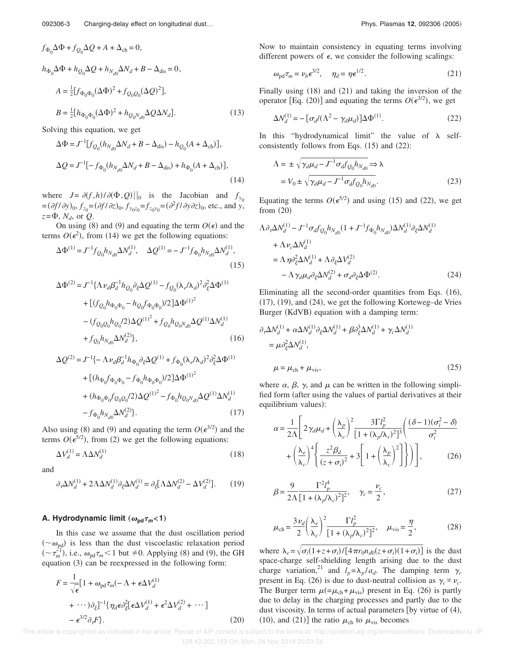$$
f_{\Phi_0} \Delta \Phi + f_{Q_0} \Delta Q + A + \Delta_{ch} = 0,
$$
  
\n
$$
h_{\Phi_0} \Delta \Phi + h_{Q_0} \Delta Q + h_{N_{d0}} \Delta N_d + B - \Delta_{dis} = 0,
$$
  
\n
$$
A = \frac{1}{2} [f_{\Phi_0 \Phi_0} (\Delta \Phi)^2 + f_{Q_0 Q_0} (\Delta Q)^2],
$$
  
\n
$$
B = \frac{1}{2} [h_{\Phi_0 \Phi_0} (\Delta \Phi)^2 + h_{Q_0 N_{d0}} \Delta Q \Delta N_d].
$$
\n(13)

Solving this equation, we get

$$
\Delta \Phi = J^{-1} [f_{Q_0}(h_{N_{d0}} \Delta N_d + B - \Delta_{\text{dis}}) - h_{Q_0}(A + \Delta_{\text{ch}})],
$$
  

$$
\Delta Q = J^{-1} [-f_{\Phi_0}(h_{N_{d0}} \Delta N_d + B - \Delta_{\text{dis}}) + h_{\Phi_0}(A + \Delta_{\text{ch}})],
$$
  
(14)

where  $J = \partial(f, h) / \partial(\Phi, Q) ||_0$  is the Jacobian and  $f_{y_0}$  $f_{z_0} = (\partial f / \partial y)_0, f_{z_0} = (\partial f / \partial z)_0, f_{y_0 z_0} = f_{z_0 y_0} = (\partial^2 f / \partial y \partial z)_0$ , etc., and *y*,  $z = \Phi$ ,  $N_d$ , or  $Q$ .

On using (8) and (9) and equating the term  $O(\epsilon)$  and the terms  $O(\epsilon^2)$ , from (14) we get the following equations:

$$
\Delta \Phi^{(1)} = J^{-1} f_{Q_0} h_{N_{d0}} \Delta N_d^{(1)}, \quad \Delta Q^{(1)} = -J^{-1} f_{\Phi_0} h_{N_{d0}} \Delta N_d^{(1)},
$$
\n(15)

$$
\Delta \Phi^{(2)} = J^{-1} \{ \Lambda \nu_d \beta_d^{-1} h_{Q_0} \partial_{\xi} \Delta Q^{(1)} - f_{Q_0} (\lambda_e / \lambda_d)^2 \partial_{\xi}^2 \Delta \Phi^{(1)}
$$
  
+ 
$$
[ (f_{Q_0} h_{\Phi_0 \Phi_0} - h_{Q_0} f_{\Phi_0 \Phi_0}) / 2 ] \Delta \Phi^{(1)^2}
$$
  
- 
$$
(f_{Q_0 Q_0} h_{Q_0} / 2 ) \Delta Q^{(1)^2} + f_{Q_0} h_{Q_0 N_{d0}} \Delta Q^{(1)} \Delta N_d^{(1)}
$$
  
+ 
$$
f_{Q_0} h_{N_{d0}} \Delta N_d^{(2)} \},
$$
 (16)

$$
\Delta Q^{(2)} = J^{-1} \{ -\Lambda \nu_d \beta_d^{-1} h_{\Phi_0} \partial_{\xi} \Delta Q^{(1)} + f_{\Phi_0} (\lambda_e / \lambda_d)^2 \partial_{\xi}^2 \Delta \Phi^{(1)} + \left[ (h_{\Phi_0} f_{\Phi_0 \Phi_0} - f_{\Phi_0} h_{\Phi_0 \Phi_0}) / 2 \right] \Delta \Phi^{(1)^2} + (h_{\Phi_0 \Phi_0} f_{Q_0 Q_0} / 2) \Delta Q^{(1)^2} - f_{\Phi_0} h_{Q_0 N_{d0}} \Delta Q^{(1)} \Delta N_d^{(1)} - f_{\Phi_0} h_{N_{d0}} \Delta N_d^{(2)} \}.
$$
\n(17)

Also using (8) and (9) and equating the term  $O(\epsilon^{3/2})$  and the terms  $O(\epsilon^{5/2})$ , from (2) we get the following equations:

$$
\Delta V_d^{(1)} = \Lambda \Delta N_d^{(1)} \tag{18}
$$

and

$$
\partial_{\tau} \Delta N_d^{(1)} + 2\Lambda \Delta N_d^{(1)} \partial_{\xi} \Delta N_d^{(1)} = \partial_{\xi} [\Lambda \Delta N_d^{(2)} - \Delta V_d^{(2)}]. \tag{19}
$$

## **A. Hydrodynamic limit**  $(\omega_{\text{pd}}\tau_m<1)$

In this case we assume that the dust oscillation period  $({\sim} \omega_{\text{pd}})$  is less than the dust viscoelastic relaxation period  $({\sim} \tau_m^{-1})$ , i.e.,  $\omega_{\text{pd}} \tau_m < 1$  but  $\neq 0$ . Applying (8) and (9), the GH equation (3) can be reexpressed in the following form:

$$
F = \frac{1}{\sqrt{\epsilon}} [1 + \omega_{\text{pd}} \tau_m (-\Lambda + \epsilon \Delta V_d^{(1)} + \cdots) \partial_{\xi}]^{-1} \{\eta_d \epsilon \partial_{\xi}^2 [\epsilon \Delta V_d^{(1)} + \epsilon^2 \Delta V_d^{(2)} + \cdots] - \epsilon^{3/2} \partial_{\tau} F \}.
$$
\n(20)

Now to maintain consistency in equating terms involving different powers of  $\epsilon$ , we consider the following scalings:

$$
\omega_{\text{pd}} \tau_m = \nu_h \epsilon^{3/2}, \quad \eta_d = \eta \epsilon^{1/2}.
$$
 (21)

Finally using (18) and (21) and taking the inversion of the operator [Eq. (20)] and equating the terms  $O(\epsilon^{3/2})$ , we get

$$
\Delta N_d^{(1)} = -\left[\sigma_d/(\Lambda^2 - \gamma_d \mu_d)\right] \Delta \Phi^{(1)}.\tag{22}
$$

In this "hydrodynamical limit" the value of  $\lambda$  selfconsistently follows from Eqs.  $(15)$  and  $(22)$ :

$$
\Lambda = \pm \sqrt{\gamma_d \mu_d - J^{-1} \sigma_d f_{Q_0} h_{N_{d0}}} \Rightarrow \lambda
$$
  
=  $V_0 \pm \sqrt{\gamma_d \mu_d - J^{-1} \sigma_d f_{Q_0} h_{N_{d0}}}.$  (23)

Equating the terms  $O(\epsilon^{5/2})$  and using (15) and (22), we get from  $(20)$ 

$$
\Lambda \partial_{\tau} \Delta N_d^{(1)} - J^{-1} \sigma_d f_{Q_0} h_{N_{d0}} (1 + J^{-1} f_{\Phi_0} h_{N_{d0}}) \Delta N_d^{(1)} \partial_{\xi} \Delta N_d^{(1)}
$$
  
+ 
$$
\Lambda \nu_c \Delta N_d^{(1)}
$$
  
= 
$$
\Lambda \eta \partial_{\xi}^2 \Delta N_d^{(1)} + \Lambda \partial_{\xi} \Delta V_d^{(2)}
$$
  
- 
$$
\Lambda \gamma_d \mu_d \partial_{\xi} \Delta N_d^{(2)} + \sigma_d \partial_{\xi} \Delta \Phi^{(2)}.
$$
 (24)

Eliminating all the second-order quantities from Eqs. (16),  $(17)$ ,  $(19)$ , and  $(24)$ , we get the following Korteweg–de Vries Burger (KdVB) equation with a damping term:

$$
\partial_{\tau} \Delta N_d^{(1)} + \alpha \Delta N_d^{(1)} \partial_{\xi} \Delta N_d^{(1)} + \beta \partial_{\xi}^3 \Delta N_d^{(1)} + \gamma_c \Delta N_d^{(1)}
$$
  
=  $\mu \partial_{\xi}^2 \Delta N_d^{(1)},$   

$$
\mu = \mu_{ch} + \mu_{vis},
$$
 (25)

where  $\alpha$ ,  $\beta$ ,  $\gamma$ , and  $\mu$  can be written in the following simplified form (after using the values of partial derivatives at their equilibrium values):

$$
\alpha = \frac{1}{2\Lambda} \left[ 2\gamma_d \mu_d + \left( \frac{\lambda_p}{\lambda_c} \right)^2 \frac{3\Gamma l_p^2}{\left[ 1 + (\lambda_p/\lambda_c)^2 \right]^3} \left( \frac{(\delta - 1)(\sigma_i^2 - \delta)}{\sigma_i^2} + \left( \frac{\lambda_e}{\lambda_c} \right)^4 \left( \frac{z^2 \beta_d}{(z + \sigma_i)^2} + 3 \left[ 1 + \left( \frac{\lambda_p}{\lambda_c} \right)^2 \right] \right) \right],
$$
 (26)

$$
\beta = \frac{9}{2\Lambda} \frac{\Gamma^2 l_p^4}{[1 + (\lambda_p/\lambda_c)^2]^2}, \quad \gamma_c = \frac{\nu_c}{2},
$$
 (27)

$$
\mu_{\rm ch} = \frac{3\nu_d}{2} \left(\frac{\lambda_e}{\lambda_c}\right)^2 \frac{\Gamma l_p^2}{\left[1 + (\lambda_p/\lambda_c)^2\right]^2}, \quad \mu_{\rm vis} = \frac{\eta}{2},\tag{28}
$$

where  $\lambda_c = \sqrt{\sigma_i(1+z+\sigma_i)/[4\pi r_0 n_{d0}(z+\sigma_i)(1+\sigma_i)]}$  is the dust space-charge self-shielding length arising due to the dust charge variation,<sup>21</sup> and  $l_p = \lambda_p / a_d$ . The damping term  $\gamma_c$ present in Eq. (26) is due to dust-neutral collision as  $\gamma_c \propto \nu_c$ . The Burger term  $\mu (= \mu_{ch} + \mu_{vis})$  present in Eq. (26) is partly due to delay in the charging processes and partly due to the dust viscosity. In terms of actual parameters [by virtue of (4), (10), and (21)] the ratio  $\mu_{ch}$  to  $\mu_{vis}$  becomes

 This article is copyrighted as indicated in the article. Reuse of AIP content is subject to the terms at: http://scitation.aip.org/termsconditions. Downloaded to IP: 128.42.202.150 On: Mon, 24 Nov 2014 20:23:34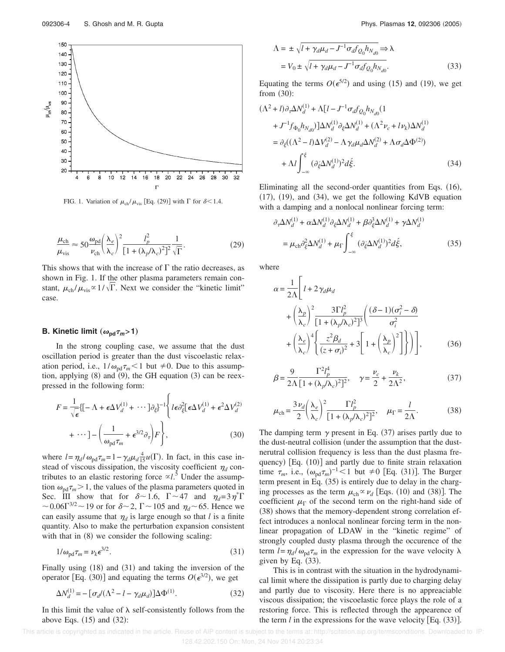

FIG. 1. Variation of  $\mu_{ch} / \mu_{vis}$  [Eq. (29)] with  $\Gamma$  for  $\delta$  < 1.4.

$$
\frac{\mu_{\rm ch}}{\mu_{\rm vis}} \approx 50 \frac{\omega_{\rm pd}}{\nu_{\rm ch}} \left(\frac{\lambda_e}{\lambda_c}\right)^2 \frac{l_p^2}{[1 + (\lambda_p/\lambda_c)^2]^2} \frac{1}{\sqrt{\Gamma}}.\tag{29}
$$

This shows that with the increase of  $\Gamma$  the ratio decreases, as shown in Fig. 1. If the other plasma parameters remain constant,  $\mu_{ch} / \mu_{vis} \propto 1 / \sqrt{\Gamma}$ . Next we consider the "kinetic limit" case.

## **B.** Kinetic limit  $(\omega_{\text{pd}} \tau_m > 1)$

In the strong coupling case, we assume that the dust oscillation period is greater than the dust viscoelastic relaxation period, i.e.,  $1/\omega_{\text{pd}}\tau_m < 1$  but  $\neq 0$ . Due to this assumption, applying  $(8)$  and  $(9)$ , the GH equation  $(3)$  can be reexpressed in the following form:

$$
F = \frac{1}{\sqrt{\epsilon}} \{ [-\Lambda + \epsilon \Delta V_d^{(1)} + \cdots] \partial_{\xi} \}^{-1} \left\{ l \epsilon \partial_{\xi}^2 [\epsilon \Delta V_d^{(1)} + \epsilon^2 \Delta V_d^{(2)} + \cdots] - \left( \frac{1}{\omega_{\text{pd}} \tau_m} + \epsilon^{3/2} \partial_{\tau} \right) F \right\},
$$
(30)

where  $l = \eta_d / \omega_{\text{pd}} \tau_m = 1 - \gamma_d \mu_d \frac{4}{15} u(\Gamma)$ . In fact, in this case instead of viscous dissipation, the viscosity coefficient  $\eta_d$  contributes to an elastic restoring force  $\alpha l$ <sup>5</sup>. Under the assumption  $\omega_{pd} \tau_m > 1$ , the values of the plasma parameters quoted in Sec. III show that for  $\delta \sim 1.6$ ,  $\Gamma \sim 47$  and  $\eta_d = 3 \eta^* \Gamma$  $\sim$  0.06 $\Gamma^{3/2}$  ~ 19 or for  $\delta$  ~ 2,  $\Gamma$  ~ 105 and  $\eta_d$  ~ 65. Hence we can easily assume that  $\eta_d$  is large enough so that *l* is a finite quantity. Also to make the perturbation expansion consistent with that in  $(8)$  we consider the following scaling:

$$
1/\omega_{\text{pd}}\tau_m = \nu_k \epsilon^{3/2}.
$$
\n(31)

Finally using (18) and (31) and taking the inversion of the operator [Eq. (30)] and equating the terms  $O(\epsilon^{3/2})$ , we get

$$
\Delta N_d^{(1)} = -\left[\sigma_d / (\Lambda^2 - l - \gamma_d \mu_d)\right] \Delta \Phi^{(1)}.\tag{32}
$$

In this limit the value of  $\lambda$  self-consistently follows from the above Eqs.  $(15)$  and  $(32)$ :

$$
\Lambda = \pm \sqrt{l + \gamma_d \mu_d - J^{-1} \sigma_d f_{Q_0} h_{N_{d0}}} \Rightarrow \lambda
$$
  
=  $V_0 \pm \sqrt{l + \gamma_d \mu_d - J^{-1} \sigma_d f_{Q_0} h_{N_{d0}}}.$  (33)

Equating the terms  $O(\epsilon^{5/2})$  and using (15) and (19), we get from  $(30)$ :

$$
(\Lambda^2 + l)\partial_{\tau}\Delta N_d^{(1)} + \Lambda [l - J^{-1}\sigma_d f_{Q_0} h_{N_{d0}} (1 + J^{-1}f_{\Phi_0} h_{N_{d0}})]\Delta N_d^{(1)} \partial_{\xi}\Delta N_d^{(1)} + (\Lambda^2 \nu_c + l\nu_k)\Delta N_d^{(1)} = \partial_{\xi}((\Lambda^2 - l)\Delta V_d^{(2)} - \Lambda \gamma_d \mu_d \Delta N_d^{(2)} + \Lambda \sigma_d \Delta \Phi^{(2)}) + \Lambda l \int_{-\infty}^{\xi} (\partial_{\xi} \Delta N_d^{(1)})^2 d\xi.
$$
 (34)

Eliminating all the second-order quantities from Eqs. (16),  $(17)$ ,  $(19)$ , and  $(34)$ , we get the following KdVB equation with a damping and a nonlocal nonlinear forcing term:

$$
\partial_{\tau} \Delta N_d^{(1)} + \alpha \Delta N_d^{(1)} \partial_{\xi} \Delta N_d^{(1)} + \beta \partial_{\xi}^3 \Delta N_d^{(1)} + \gamma \Delta N_d^{(1)}
$$
  
=  $\mu_{\rm ch} \partial_{\xi}^2 \Delta N_d^{(1)} + \mu_{\Gamma} \int_{-\infty}^{\xi} (\partial_{\xi} \Delta N_d^{(1)})^2 d\xi,$  (35)

where

$$
\alpha = \frac{1}{2\Lambda} \left[ l + 2\gamma_d \mu_d \right.\n+ \left( \frac{\lambda_p}{\lambda_c} \right)^2 \frac{3\Gamma l_p^2}{\left[ 1 + (\lambda_p/\lambda_c)^2 \right]^3} \left( \frac{(\delta - 1)(\sigma_i^2 - \delta)}{\sigma_i^2} + \left( \frac{\lambda_e}{\lambda_c} \right)^4 \left\{ \frac{z^2 \beta_d}{(z + \sigma_i)^2} + 3 \left[ 1 + \left( \frac{\lambda_p}{\lambda_c} \right)^2 \right] \right\} \right),
$$
\n(36)

$$
\beta = \frac{9}{2\Lambda} \frac{\Gamma^2 l_p^4}{[1 + (\lambda_p/\lambda_c)^2]^2}, \quad \gamma = \frac{\nu_c}{2} + \frac{\nu_k}{2\Lambda^2},
$$
 (37)

$$
\mu_{\rm ch} = \frac{3\nu_d}{2} \left(\frac{\lambda_e}{\lambda_c}\right)^2 \frac{\Gamma l_p^2}{[1 + (\lambda_p/\lambda_c)^2]^2}, \quad \mu_{\Gamma} = \frac{l}{2\Lambda}.
$$
 (38)

The damping term  $\gamma$  present in Eq. (37) arises partly due to the dust-neutral collision (under the assumption that the dustnerutral collision frequency is less than the dust plasma frequency) [Eq. (10)] and partly due to finite strain relaxation time  $\tau_m$ , i.e.,  $(\omega_{\text{pd}}\tau_m)^{-1}$  < 1 but  $\neq$  0 [Eq. (31)]. The Burger term present in Eq. (35) is entirely due to delay in the charging processes as the term  $\mu_{ch} \propto \nu_d$  [Eqs. (10) and (38)]. The coefficient  $\mu_{\Gamma}$  of the second term on the right-hand side of (38) shows that the memory-dependent strong correlation effect introduces a nonlocal nonlinear forcing term in the nonlinear propagation of LDAW in the "kinetic regime" of strongly coupled dusty plasma through the occurence of the term  $l = \eta_d / \omega_{pd} \tau_m$  in the expression for the wave velocity  $\lambda$ given by Eq.  $(33)$ .

This is in contrast with the situation in the hydrodynamical limit where the dissipation is partly due to charging delay and partly due to viscosity. Here there is no appreaciable viscous dissipation; the viscoelastic force plays the role of a restoring force. This is reflected through the appearence of the term  $l$  in the expressions for the wave velocity [Eq.  $(33)$ ].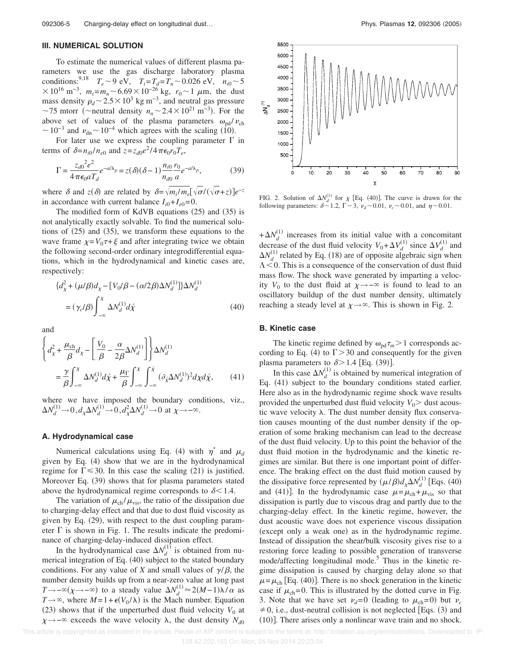### **III. NUMERICAL SOLUTION**

To estimate the numerical values of different plasma parameters we use the gas discharge laboratory plasma conditions:<sup>9,18</sup>  $T_e \sim 9 \text{ eV}$ ,  $T_i = T_d = T_n \sim 0.026 \text{ eV}$ ,  $n_{i0} \sim 5$  $\times 10^{16}$  m<sup>-3</sup>,  $m_i = m_n \sim 6.69 \times 10^{-26}$  kg,  $r_0 \sim 1$   $\mu$ m, the dust mass density  $\rho_d \sim 2.5 \times 10^3$  kg m<sup>-3</sup>, and neutral gas pressure ~75 mtorr (~neutral density  $n_n$  ~ 2.4 × 10<sup>21</sup> m<sup>-3</sup>). For the above set of values of the plasma parameters  $\omega_{\rm nd} / \nu_{\rm ch}$  $\sim 10^{-3}$  and  $v_{\text{dn}} \sim 10^{-4}$  which agrees with the scaling (10).

For later use we express the coupling parameter  $\Gamma$  in terms of  $\delta = n_{i0}/n_{e0}$  and  $z = z_{d0}e^{2}/4\pi\epsilon_0r_0T_e$ ,

$$
\Gamma = \frac{z_{d0}^2 e^2}{4\pi \epsilon_0 a T_d} e^{-a/\lambda_p} = z(\delta)(\delta - 1) \frac{n_{i0}}{n_{d0}} \frac{r_0}{a} e^{-a/\lambda_p},
$$
(39)

where  $\delta$  and  $z(\delta)$  are related by  $\delta = \sqrt{m_i/m_e}[\sqrt{\sigma}/(\sqrt{\sigma}+z)]e^{-z}$ in accordance with current balance  $I_{i0} + I_{e0} = 0$ .

The modified form of KdVB equations  $(25)$  and  $(35)$  is not analytically exactly solvable. To find the numerical solutions of  $(25)$  and  $(35)$ , we transform these equations to the wave frame  $\chi = V_0 \tau + \xi$  and after integrating twice we obtain the following second-order ordinary integrodifferential equations, which in the hydrodynamical and kinetic cases are, respectively:

$$
\{d_{\chi}^{2} + (\mu/\beta)d_{\chi} - [V_{0}/\beta - (\alpha/2\beta)\Delta N_{d}^{(1)}]\}\Delta N_{d}^{(1)}
$$
  
=  $(\gamma_{c}/\beta)\int_{-\infty}^{\chi} \Delta N_{d}^{(1)}d\chi$  (40)

and

$$
\left\{ d_{\chi}^{2} + \frac{\mu_{\rm ch}}{\beta} d_{\chi} - \left[ \frac{V_{0}}{\beta} - \frac{\alpha}{2\beta} \Delta N_{d}^{(1)} \right] \right\} \Delta N_{d}^{(1)} \n= \frac{\gamma}{\beta} \int_{-\infty}^{\chi} \Delta N_{d}^{(1)} d\chi + \frac{\mu_{\Gamma}}{\beta} \int_{-\infty}^{\chi} \int_{-\infty}^{\chi} (\partial_{\chi} \Delta N_{d}^{(1)})^{2} d\chi d\chi, \tag{41}
$$

where we have imposed the boundary conditions, viz.,  $\Delta N_d^{(1)} \rightarrow 0$ ,  $d_\chi \Delta N_d^{(1)} \rightarrow 0$ ,  $d_\chi^2 \Delta N_d^{(1)} \rightarrow 0$  at  $\chi \rightarrow -\infty$ .

#### **A. Hydrodynamical case**

Numerical calculations using Eq. (4) with  $\eta^*$  and  $\mu_d$ given by Eq. (4) show that we are in the hydrodynamical regime for  $\Gamma \le 30$ . In this case the scaling (21) is justified. Moreover Eq. (39) shows that for plasma parameters stated above the hydrodynamical regime corresponds to  $\delta$  < 1.4.

The variation of  $\mu_{ch} / \mu_{vis}$ , the ratio of the dissipation due to charging-delay effect and that due to dust fluid viscosity as given by Eq. (29), with respect to the dust coupling parameter  $\Gamma$  is shown in Fig. 1. The results indicate the predominance of charging-delay-induced dissipation effect.

In the hydrodynamical case  $\Delta N_d^{(1)}$  is obtained from numerical integration of Eq. (40) subject to the stated boundary conditions. For any value of *X* and small values of  $\gamma/\beta$ , the number density builds up from a near-zero value at long past *T*→−∞( $\chi$ →−∞) to a steady value  $\Delta N_d^{(1)} \approx 2(M-1)\lambda/\alpha$  as  $T \rightarrow \infty$ , where  $M = 1 + \epsilon(V_0/\lambda)$  is the Mach number. Equation (23) shows that if the unperturbed dust fluid velocity  $V_0$  at  $\chi \rightarrow -\infty$  exceeds the wave velocity  $\lambda$ , the dust density  $N_{d0}$ 



FIG. 2. Solution of  $\Delta N_d^{(1)}$  for  $\chi$  [Eq. (40)]. The curve is drawn for the following parameters:  $\delta \sim 1.2$ ,  $\Gamma \sim 3$ ,  $\nu_d \sim 0.01$ ,  $\nu_c \sim 0.01$ , and  $\eta \sim 0.01$ .

 $+\Delta N_d^{(1)}$  increases from its initial value with a concomitant decrease of the dust fluid velocity  $V_0 + \Delta V_d^{(1)}$  since  $\Delta V_d^{(1)}$  and  $\Delta N_d^{(1)}$  related by Eq. (18) are of opposite algebraic sign when  $\Lambda$  < 0. This is a consequence of the conservation of dust fluid mass flow. The shock wave generated by imparting a velocity  $V_0$  to the dust fluid at  $\chi \rightarrow -\infty$  is found to lead to an oscillatory buildup of the dust number density, ultimately reaching a steady level at  $\chi \rightarrow \infty$ . This is shown in Fig. 2.

### **B. Kinetic case**

The kinetic regime defined by  $\omega_{pd} \tau_m > 1$  corresponds according to Eq. (4) to  $\Gamma > 30$  and consequently for the given plasma parameters to  $\delta$  > 1.4 [Eq. (39)].

In this case  $\Delta N_d^{(1)}$  is obtained by numerical integration of Eq. (41) subject to the boundary conditions stated earlier. Here also as in the hydrodynamic regime shock wave results provided the unperturbed dust fluid velocity  $V_0$  dust acoustic wave velocity  $\lambda$ . The dust number density flux conservation causes mounting of the dust number density if the operation of some braking mechanism can lead to the decrease of the dust fluid velocity. Up to this point the behavior of the dust fluid motion in the hydrodynamic and the kinetic regimes are similar. But there is one important point of difference. The braking effect on the dust fluid motion caused by the dissipative force represented by  $(\mu/\beta)d_{\chi}\Delta N_d^{(1)}$  [Eqs. (40) and (41)]. In the hydrodynamic case  $\mu = \mu_{ch} + \mu_{vis}$  so that dissipation is partly due to viscous drag and partly due to the charging-delay effect. In the kinetic regime, however, the dust acoustic wave does not experience viscous dissipation (except only a weak one) as in the hydrodynamic regime. Instead of dissipation the shear/bulk viscosity gives rise to a restoring force leading to possible generation of transverse mode/affecting longitudinal mode.<sup>5</sup> Thus in the kinetic regime dissipation is caused by charging delay alone so that  $\mu = \mu_{ch}$  [Eq. (40)]. There is no shock generation in the kinetic case if  $\mu_{ch}$ = 0. This is illustrated by the dotted curve in Fig. 3. Note that we have set  $v_d = 0$  (leading to  $\mu_{ch} = 0$ ) but  $v_c$  $\neq$  0, i.e., dust-neutral collision is not neglected [Eqs. (3) and  $(10)$ ]. There arises only a nonlinear wave train and no shock.